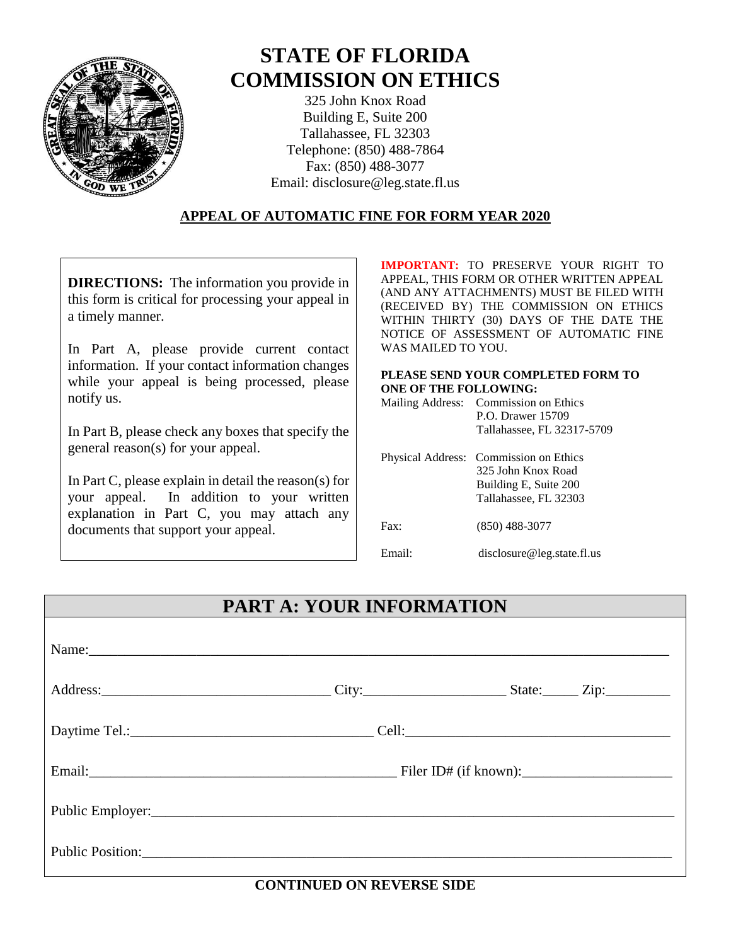

# **STATE OF FLORIDA COMMISSION ON ETHICS**

325 John Knox Road Building E, Suite 200 Tallahassee, FL 32303 Telephone: (850) 488-7864 Fax: (850) 488-3077 Email: disclosure@leg.state.fl.us

#### **APPEAL OF AUTOMATIC FINE FOR FORM YEAR 2020**

**DIRECTIONS:** The information you provide in this form is critical for processing your appeal in a timely manner.

In Part A, please provide current contact information. If your contact information changes while your appeal is being processed, please notify us.

In Part B, please check any boxes that specify the general reason(s) for your appeal.

In Part C, please explain in detail the reason(s) for your appeal. In addition to your written explanation in Part C, you may attach any documents that support your appeal.

**IMPORTANT:** TO PRESERVE YOUR RIGHT TO APPEAL, THIS FORM OR OTHER WRITTEN APPEAL (AND ANY ATTACHMENTS) MUST BE FILED WITH (RECEIVED BY) THE COMMISSION ON ETHICS WITHIN THIRTY (30) DAYS OF THE DATE THE NOTICE OF ASSESSMENT OF AUTOMATIC FINE WAS MAILED TO YOU.

#### **PLEASE SEND YOUR COMPLETED FORM TO ONE OF THE FOLLOWING:**

|  | Mailing Address: Commission on Ethics |  |
|--|---------------------------------------|--|
|  | P.O. Drawer 15709                     |  |
|  | Tallahassee, FL 32317-5709            |  |
|  |                                       |  |

|        | Physical Address: Commission on Ethics<br>325 John Knox Road<br>Building E, Suite 200<br>Tallahassee, FL 32303 |
|--------|----------------------------------------------------------------------------------------------------------------|
| Fast:  | $(850)$ 488-3077                                                                                               |
| Email: | disclosure@leg.state.fl.us                                                                                     |

## **PART A: YOUR INFORMATION**

| Name:                                                                                                                                                                                                                          |  |  |
|--------------------------------------------------------------------------------------------------------------------------------------------------------------------------------------------------------------------------------|--|--|
|                                                                                                                                                                                                                                |  |  |
|                                                                                                                                                                                                                                |  |  |
|                                                                                                                                                                                                                                |  |  |
| Public Employer: 2000 Contract Contract Contract Contract Contract Contract Contract Contract Contract Contract Contract Contract Contract Contract Contract Contract Contract Contract Contract Contract Contract Contract Co |  |  |
| Public Position:                                                                                                                                                                                                               |  |  |